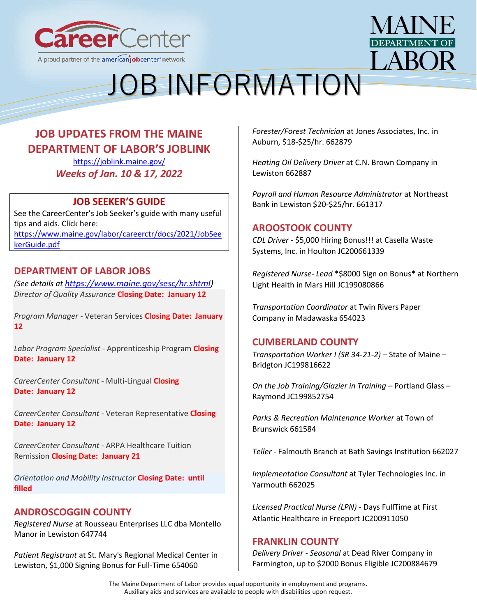



### **JOB UPDATES FROM THE MAINE DEPARTMENT OF LABOR'S JOBLINK**

<https://joblink.maine.gov/> *Weeks of Jan. 10 & 17, 2022*

### **JOB SEEKER'S GUIDE**

See the CareerCenter's Job Seeker's guide with many useful tips and aids. Click here: [https://www.maine.gov/labor/careerctr/docs/2021/JobSee](https://www.maine.gov/labor/careerctr/docs/2021/JobSeekerGuide.pdf) [kerGuide.pdf](https://www.maine.gov/labor/careerctr/docs/2021/JobSeekerGuide.pdf)

### **DEPARTMENT OF LABOR JOBS**

*(See details at [https://www.maine.gov/sesc/hr.shtml\)](https://www.maine.gov/sesc/hr.shtml) Director of Quality Assurance* **Closing Date: January 12**

*Program Manager* - Veteran Services **Closing Date: January 12**

*Labor Program Specialist* - Apprenticeship Program **Closing Date: January 12**

*CareerCenter Consultant* - Multi-Lingual **Closing Date: January 12**

*CareerCenter Consultant* - Veteran Representative **Closing Date: January 12**

*CareerCenter Consultant* - ARPA Healthcare Tuition Remission **Closing Date: January 21**

*Orientation and Mobility Instructor* **Closing Date: until filled**

### **ANDROSCOGGIN COUNTY**

*[Registered Nurse](https://gcc02.safelinks.protection.outlook.com/?url=https%3A%2F%2Fjoblink.maine.gov%2Fjobs%2F647744&data=04%7C01%7CDavid.M.Grima%40maine.gov%7C303bcba3e346422f5ec408d9cf9b5886%7C413fa8ab207d4b629bcdea1a8f2f864e%7C0%7C0%7C637769088382563435%7CUnknown%7CTWFpbGZsb3d8eyJWIjoiMC4wLjAwMDAiLCJQIjoiV2luMzIiLCJBTiI6Ik1haWwiLCJXVCI6Mn0%3D%7C3000&sdata=tAJlbe5Rg9i%2Bg%2BKH57dVHZjNpAPYdEoeQM8XnewaApw%3D&reserved=0)* at [Rousseau Enterprises LLC dba Montello](https://gcc02.safelinks.protection.outlook.com/?url=https%3A%2F%2Fjoblink.maine.gov%2Femployers%2F20567&data=04%7C01%7CDavid.M.Grima%40maine.gov%7C303bcba3e346422f5ec408d9cf9b5886%7C413fa8ab207d4b629bcdea1a8f2f864e%7C0%7C0%7C637769088382563435%7CUnknown%7CTWFpbGZsb3d8eyJWIjoiMC4wLjAwMDAiLCJQIjoiV2luMzIiLCJBTiI6Ik1haWwiLCJXVCI6Mn0%3D%7C3000&sdata=6eACM1DzJpbueUTu2l1PqGV5nm%2Bx8fsfDBxVmBHNV50%3D&reserved=0)  [Manor](https://gcc02.safelinks.protection.outlook.com/?url=https%3A%2F%2Fjoblink.maine.gov%2Femployers%2F20567&data=04%7C01%7CDavid.M.Grima%40maine.gov%7C303bcba3e346422f5ec408d9cf9b5886%7C413fa8ab207d4b629bcdea1a8f2f864e%7C0%7C0%7C637769088382563435%7CUnknown%7CTWFpbGZsb3d8eyJWIjoiMC4wLjAwMDAiLCJQIjoiV2luMzIiLCJBTiI6Ik1haWwiLCJXVCI6Mn0%3D%7C3000&sdata=6eACM1DzJpbueUTu2l1PqGV5nm%2Bx8fsfDBxVmBHNV50%3D&reserved=0) in Lewiston 647744

*[Patient Registrant](https://gcc02.safelinks.protection.outlook.com/?url=https%3A%2F%2Fjoblink.maine.gov%2Fjobs%2F654060&data=04%7C01%7CDavid.M.Grima%40maine.gov%7C303bcba3e346422f5ec408d9cf9b5886%7C413fa8ab207d4b629bcdea1a8f2f864e%7C0%7C0%7C637769088382563435%7CUnknown%7CTWFpbGZsb3d8eyJWIjoiMC4wLjAwMDAiLCJQIjoiV2luMzIiLCJBTiI6Ik1haWwiLCJXVCI6Mn0%3D%7C3000&sdata=vVA2sIUnP%2Fszy5iTrwD1WqR%2FgLRLP%2B5zk6%2BY6maBOxw%3D&reserved=0)* at [St. Mary's Regional Medical Center](https://gcc02.safelinks.protection.outlook.com/?url=https%3A%2F%2Fjoblink.maine.gov%2Femployers%2F18692&data=04%7C01%7CDavid.M.Grima%40maine.gov%7C303bcba3e346422f5ec408d9cf9b5886%7C413fa8ab207d4b629bcdea1a8f2f864e%7C0%7C0%7C637769088382563435%7CUnknown%7CTWFpbGZsb3d8eyJWIjoiMC4wLjAwMDAiLCJQIjoiV2luMzIiLCJBTiI6Ik1haWwiLCJXVCI6Mn0%3D%7C3000&sdata=1RtSDgM6lEVMVMMy%2Bx7xLMNW7djo4zuOmuC0MMEoS%2BU%3D&reserved=0) in Lewiston, \$1,000 Signing Bonus for Full-Time 654060

*[Forester/Forest Technician](https://gcc02.safelinks.protection.outlook.com/?url=https%3A%2F%2Fjoblink.maine.gov%2Fjobs%2F662879&data=04%7C01%7CDavid.M.Grima%40maine.gov%7C303bcba3e346422f5ec408d9cf9b5886%7C413fa8ab207d4b629bcdea1a8f2f864e%7C0%7C0%7C637769088382563435%7CUnknown%7CTWFpbGZsb3d8eyJWIjoiMC4wLjAwMDAiLCJQIjoiV2luMzIiLCJBTiI6Ik1haWwiLCJXVCI6Mn0%3D%7C3000&sdata=kCxqkuSvrHlNydPvaXIp01oFrBZM6jnIvu9HYjzPXUk%3D&reserved=0)* at [Jones Associates, Inc.](https://gcc02.safelinks.protection.outlook.com/?url=https%3A%2F%2Fjoblink.maine.gov%2Femployers%2F524&data=04%7C01%7CDavid.M.Grima%40maine.gov%7C303bcba3e346422f5ec408d9cf9b5886%7C413fa8ab207d4b629bcdea1a8f2f864e%7C0%7C0%7C637769088382563435%7CUnknown%7CTWFpbGZsb3d8eyJWIjoiMC4wLjAwMDAiLCJQIjoiV2luMzIiLCJBTiI6Ik1haWwiLCJXVCI6Mn0%3D%7C3000&sdata=Jx%2BPWmWfTtg8ugFZG7cHpj4zjG4bw1un0tn37PWF7gE%3D&reserved=0) in Auburn, \$18-\$25/hr. 662879

*[Heating Oil Delivery Driver](https://gcc02.safelinks.protection.outlook.com/?url=https%3A%2F%2Fjoblink.maine.gov%2Fjobs%2F662887&data=04%7C01%7CDavid.M.Grima%40maine.gov%7C303bcba3e346422f5ec408d9cf9b5886%7C413fa8ab207d4b629bcdea1a8f2f864e%7C0%7C0%7C637769088382563435%7CUnknown%7CTWFpbGZsb3d8eyJWIjoiMC4wLjAwMDAiLCJQIjoiV2luMzIiLCJBTiI6Ik1haWwiLCJXVCI6Mn0%3D%7C3000&sdata=FAI7J1fMIPEPgfV5WyQ8AvYxpo2mu4juTPy70%2BFgBpA%3D&reserved=0)* at [C.N. Brown Company](https://gcc02.safelinks.protection.outlook.com/?url=https%3A%2F%2Fjoblink.maine.gov%2Femployers%2F12841&data=04%7C01%7CDavid.M.Grima%40maine.gov%7C303bcba3e346422f5ec408d9cf9b5886%7C413fa8ab207d4b629bcdea1a8f2f864e%7C0%7C0%7C637769088382563435%7CUnknown%7CTWFpbGZsb3d8eyJWIjoiMC4wLjAwMDAiLCJQIjoiV2luMzIiLCJBTiI6Ik1haWwiLCJXVCI6Mn0%3D%7C3000&sdata=mo%2Ffs0IGWI9zwRdInyeUO2tq%2Fdzt7OIoOxYPpdy9zLU%3D&reserved=0) in Lewiston 662887

*[Payroll and Human Resource Administrator](https://gcc02.safelinks.protection.outlook.com/?url=https%3A%2F%2Fjoblink.maine.gov%2Fjobs%2F661317&data=04%7C01%7CDavid.M.Grima%40maine.gov%7C303bcba3e346422f5ec408d9cf9b5886%7C413fa8ab207d4b629bcdea1a8f2f864e%7C0%7C0%7C637769088382563435%7CUnknown%7CTWFpbGZsb3d8eyJWIjoiMC4wLjAwMDAiLCJQIjoiV2luMzIiLCJBTiI6Ik1haWwiLCJXVCI6Mn0%3D%7C3000&sdata=Fle62Mhg8Qe0zektCdgpEDaul0gsJ5iuqLEiOXWFWvQ%3D&reserved=0)* at [Northeast](https://gcc02.safelinks.protection.outlook.com/?url=https%3A%2F%2Fjoblink.maine.gov%2Femployers%2F14729&data=04%7C01%7CDavid.M.Grima%40maine.gov%7C303bcba3e346422f5ec408d9cf9b5886%7C413fa8ab207d4b629bcdea1a8f2f864e%7C0%7C0%7C637769088382563435%7CUnknown%7CTWFpbGZsb3d8eyJWIjoiMC4wLjAwMDAiLCJQIjoiV2luMzIiLCJBTiI6Ik1haWwiLCJXVCI6Mn0%3D%7C3000&sdata=SFNK6hYdn2NxdA15jOTla8A3pKFGvxTVxLcdYe41x4s%3D&reserved=0)  [Bank](https://gcc02.safelinks.protection.outlook.com/?url=https%3A%2F%2Fjoblink.maine.gov%2Femployers%2F14729&data=04%7C01%7CDavid.M.Grima%40maine.gov%7C303bcba3e346422f5ec408d9cf9b5886%7C413fa8ab207d4b629bcdea1a8f2f864e%7C0%7C0%7C637769088382563435%7CUnknown%7CTWFpbGZsb3d8eyJWIjoiMC4wLjAwMDAiLCJQIjoiV2luMzIiLCJBTiI6Ik1haWwiLCJXVCI6Mn0%3D%7C3000&sdata=SFNK6hYdn2NxdA15jOTla8A3pKFGvxTVxLcdYe41x4s%3D&reserved=0) in Lewiston \$20-\$25/hr. 661317

### **AROOSTOOK COUNTY**

*CDL Driver* - [\\$5,000 Hiring Bonus!!!](https://gcc02.safelinks.protection.outlook.com/?url=https%3A%2F%2Fjoblink.maine.gov%2Fjobs%2F660649&data=04%7C01%7CDavid.M.Grima%40maine.gov%7Cef88988af50f4bdae26f08d9ceedeb18%7C413fa8ab207d4b629bcdea1a8f2f864e%7C0%7C0%7C637768343506173588%7CUnknown%7CTWFpbGZsb3d8eyJWIjoiMC4wLjAwMDAiLCJQIjoiV2luMzIiLCJBTiI6Ik1haWwiLCJXVCI6Mn0%3D%7C3000&sdata=Ab3MK%2FCitufm63eKzmDiwrQTHALDejmhYm7QSeIeClo%3D&reserved=0) at [Casella Waste](https://gcc02.safelinks.protection.outlook.com/?url=https%3A%2F%2Fjoblink.maine.gov%2Femployers%2F11286&data=04%7C01%7CDavid.M.Grima%40maine.gov%7Cef88988af50f4bdae26f08d9ceedeb18%7C413fa8ab207d4b629bcdea1a8f2f864e%7C0%7C0%7C637768343506173588%7CUnknown%7CTWFpbGZsb3d8eyJWIjoiMC4wLjAwMDAiLCJQIjoiV2luMzIiLCJBTiI6Ik1haWwiLCJXVCI6Mn0%3D%7C3000&sdata=%2B3QNpCax9Rb5WuevKtqzwXLyfJ1npiwwpjoPa82Ki%2B4%3D&reserved=0)  [Systems, Inc.](https://gcc02.safelinks.protection.outlook.com/?url=https%3A%2F%2Fjoblink.maine.gov%2Femployers%2F11286&data=04%7C01%7CDavid.M.Grima%40maine.gov%7Cef88988af50f4bdae26f08d9ceedeb18%7C413fa8ab207d4b629bcdea1a8f2f864e%7C0%7C0%7C637768343506173588%7CUnknown%7CTWFpbGZsb3d8eyJWIjoiMC4wLjAwMDAiLCJQIjoiV2luMzIiLCJBTiI6Ik1haWwiLCJXVCI6Mn0%3D%7C3000&sdata=%2B3QNpCax9Rb5WuevKtqzwXLyfJ1npiwwpjoPa82Ki%2B4%3D&reserved=0) in Houlton JC200661339

*Registered Nurse- Lead* [\\*\\$8000 Sign on Bonus\\*](https://gcc02.safelinks.protection.outlook.com/?url=https%3A%2F%2Fjoblink.maine.gov%2Fjobs%2F615322&data=04%7C01%7CDavid.M.Grima%40maine.gov%7Cef88988af50f4bdae26f08d9ceedeb18%7C413fa8ab207d4b629bcdea1a8f2f864e%7C0%7C0%7C637768343506173588%7CUnknown%7CTWFpbGZsb3d8eyJWIjoiMC4wLjAwMDAiLCJQIjoiV2luMzIiLCJBTiI6Ik1haWwiLCJXVCI6Mn0%3D%7C3000&sdata=xFmSsPx%2FbGmtl1P%2FIEJUBWJlXFP3esUeXnbmzqcCtqc%3D&reserved=0) at [Northern](https://gcc02.safelinks.protection.outlook.com/?url=https%3A%2F%2Fjoblink.maine.gov%2Femployers%2F16387&data=04%7C01%7CDavid.M.Grima%40maine.gov%7Cef88988af50f4bdae26f08d9ceedeb18%7C413fa8ab207d4b629bcdea1a8f2f864e%7C0%7C0%7C637768343506173588%7CUnknown%7CTWFpbGZsb3d8eyJWIjoiMC4wLjAwMDAiLCJQIjoiV2luMzIiLCJBTiI6Ik1haWwiLCJXVCI6Mn0%3D%7C3000&sdata=ysBgA0Mg1ly6Ub551elwZYjltT5CMcLxdxa67%2FscSkk%3D&reserved=0)  [Light Health](https://gcc02.safelinks.protection.outlook.com/?url=https%3A%2F%2Fjoblink.maine.gov%2Femployers%2F16387&data=04%7C01%7CDavid.M.Grima%40maine.gov%7Cef88988af50f4bdae26f08d9ceedeb18%7C413fa8ab207d4b629bcdea1a8f2f864e%7C0%7C0%7C637768343506173588%7CUnknown%7CTWFpbGZsb3d8eyJWIjoiMC4wLjAwMDAiLCJQIjoiV2luMzIiLCJBTiI6Ik1haWwiLCJXVCI6Mn0%3D%7C3000&sdata=ysBgA0Mg1ly6Ub551elwZYjltT5CMcLxdxa67%2FscSkk%3D&reserved=0) in Mars Hill JC199080866

*[Transportation Coordinator](https://gcc02.safelinks.protection.outlook.com/?url=https%3A%2F%2Fjoblink.maine.gov%2Fjobs%2F654023&data=04%7C01%7CDavid.M.Grima%40maine.gov%7Cef88988af50f4bdae26f08d9ceedeb18%7C413fa8ab207d4b629bcdea1a8f2f864e%7C0%7C0%7C637768343506329798%7CUnknown%7CTWFpbGZsb3d8eyJWIjoiMC4wLjAwMDAiLCJQIjoiV2luMzIiLCJBTiI6Ik1haWwiLCJXVCI6Mn0%3D%7C3000&sdata=9vT2MWU7TLt8Wq84xZRSfYF8Fm3iLU0tMIVxI0UvdtY%3D&reserved=0)* at [Twin Rivers Paper](https://gcc02.safelinks.protection.outlook.com/?url=https%3A%2F%2Fjoblink.maine.gov%2Femployers%2F16742&data=04%7C01%7CDavid.M.Grima%40maine.gov%7Cef88988af50f4bdae26f08d9ceedeb18%7C413fa8ab207d4b629bcdea1a8f2f864e%7C0%7C0%7C637768343506329798%7CUnknown%7CTWFpbGZsb3d8eyJWIjoiMC4wLjAwMDAiLCJQIjoiV2luMzIiLCJBTiI6Ik1haWwiLCJXVCI6Mn0%3D%7C3000&sdata=d%2FaxZaEyiPGnOaiDHzjV38KsBQG%2FWUCx9Q7pbVdv%2Fvw%3D&reserved=0)  [Company](https://gcc02.safelinks.protection.outlook.com/?url=https%3A%2F%2Fjoblink.maine.gov%2Femployers%2F16742&data=04%7C01%7CDavid.M.Grima%40maine.gov%7Cef88988af50f4bdae26f08d9ceedeb18%7C413fa8ab207d4b629bcdea1a8f2f864e%7C0%7C0%7C637768343506329798%7CUnknown%7CTWFpbGZsb3d8eyJWIjoiMC4wLjAwMDAiLCJQIjoiV2luMzIiLCJBTiI6Ik1haWwiLCJXVCI6Mn0%3D%7C3000&sdata=d%2FaxZaEyiPGnOaiDHzjV38KsBQG%2FWUCx9Q7pbVdv%2Fvw%3D&reserved=0) in Madawaska 654023

### **CUMBERLAND COUNTY**

*[Transportation Worker I \(SR 34-21-2\)](https://joblink.maine.gov/jobs/653913)* – State of Maine – [Bridgton JC199816622](https://joblink.maine.gov/jobs/653913)

*[On the Job Training/Glazier in Training](https://joblink.maine.gov/jobs/654688)* – Portland Glass – [Raymond JC199852754](https://joblink.maine.gov/jobs/654688)

*[Parks & Recreation Maintenance Worker](https://gcc02.safelinks.protection.outlook.com/?url=https%3A%2F%2Fjoblink.maine.gov%2Fjobs%2F661584&data=04%7C01%7CDavid.M.Grima%40maine.gov%7C303bcba3e346422f5ec408d9cf9b5886%7C413fa8ab207d4b629bcdea1a8f2f864e%7C0%7C0%7C637769088382719658%7CUnknown%7CTWFpbGZsb3d8eyJWIjoiMC4wLjAwMDAiLCJQIjoiV2luMzIiLCJBTiI6Ik1haWwiLCJXVCI6Mn0%3D%7C3000&sdata=rauVZANLGj3zPsvq5RD0k5DzDXBZZXRGh8zJjW12HzQ%3D&reserved=0)* at [Town of](https://gcc02.safelinks.protection.outlook.com/?url=https%3A%2F%2Fjoblink.maine.gov%2Femployers%2F17473&data=04%7C01%7CDavid.M.Grima%40maine.gov%7C303bcba3e346422f5ec408d9cf9b5886%7C413fa8ab207d4b629bcdea1a8f2f864e%7C0%7C0%7C637769088382719658%7CUnknown%7CTWFpbGZsb3d8eyJWIjoiMC4wLjAwMDAiLCJQIjoiV2luMzIiLCJBTiI6Ik1haWwiLCJXVCI6Mn0%3D%7C3000&sdata=p0S%2FlY2gl6l%2Bst%2FMRQeZAeRY7yIJ8IEfuj%2BhlA0D0XM%3D&reserved=0)  [Brunswick](https://gcc02.safelinks.protection.outlook.com/?url=https%3A%2F%2Fjoblink.maine.gov%2Femployers%2F17473&data=04%7C01%7CDavid.M.Grima%40maine.gov%7C303bcba3e346422f5ec408d9cf9b5886%7C413fa8ab207d4b629bcdea1a8f2f864e%7C0%7C0%7C637769088382719658%7CUnknown%7CTWFpbGZsb3d8eyJWIjoiMC4wLjAwMDAiLCJQIjoiV2luMzIiLCJBTiI6Ik1haWwiLCJXVCI6Mn0%3D%7C3000&sdata=p0S%2FlY2gl6l%2Bst%2FMRQeZAeRY7yIJ8IEfuj%2BhlA0D0XM%3D&reserved=0) 661584

*Teller* - [Falmouth Branch](https://gcc02.safelinks.protection.outlook.com/?url=https%3A%2F%2Fjoblink.maine.gov%2Fjobs%2F662027&data=04%7C01%7CDavid.M.Grima%40maine.gov%7C303bcba3e346422f5ec408d9cf9b5886%7C413fa8ab207d4b629bcdea1a8f2f864e%7C0%7C0%7C637769088382875879%7CUnknown%7CTWFpbGZsb3d8eyJWIjoiMC4wLjAwMDAiLCJQIjoiV2luMzIiLCJBTiI6Ik1haWwiLCJXVCI6Mn0%3D%7C3000&sdata=nEZcewSnhlL1nmojvQd2rZT5RNjPrvD80BqstvXyofI%3D&reserved=0) at [Bath Savings Institution](https://gcc02.safelinks.protection.outlook.com/?url=https%3A%2F%2Fjoblink.maine.gov%2Femployers%2F9465&data=04%7C01%7CDavid.M.Grima%40maine.gov%7C303bcba3e346422f5ec408d9cf9b5886%7C413fa8ab207d4b629bcdea1a8f2f864e%7C0%7C0%7C637769088382875879%7CUnknown%7CTWFpbGZsb3d8eyJWIjoiMC4wLjAwMDAiLCJQIjoiV2luMzIiLCJBTiI6Ik1haWwiLCJXVCI6Mn0%3D%7C3000&sdata=OnLVYCDLMIKE%2BbI73fu1vJKT75HNTAbJvwhKLJrMl9c%3D&reserved=0) 662027

*[Implementation Consultant](https://gcc02.safelinks.protection.outlook.com/?url=https%3A%2F%2Fjoblink.maine.gov%2Fjobs%2F662025&data=04%7C01%7CDavid.M.Grima%40maine.gov%7C303bcba3e346422f5ec408d9cf9b5886%7C413fa8ab207d4b629bcdea1a8f2f864e%7C0%7C0%7C637769088382875879%7CUnknown%7CTWFpbGZsb3d8eyJWIjoiMC4wLjAwMDAiLCJQIjoiV2luMzIiLCJBTiI6Ik1haWwiLCJXVCI6Mn0%3D%7C3000&sdata=IYGkylGUfolDG%2F%2BsIBk9ERTLCDTB1DXsXE%2ByX5GdlIo%3D&reserved=0)* at [Tyler Technologies Inc.](https://gcc02.safelinks.protection.outlook.com/?url=https%3A%2F%2Fjoblink.maine.gov%2Femployers%2F2195&data=04%7C01%7CDavid.M.Grima%40maine.gov%7C303bcba3e346422f5ec408d9cf9b5886%7C413fa8ab207d4b629bcdea1a8f2f864e%7C0%7C0%7C637769088382875879%7CUnknown%7CTWFpbGZsb3d8eyJWIjoiMC4wLjAwMDAiLCJQIjoiV2luMzIiLCJBTiI6Ik1haWwiLCJXVCI6Mn0%3D%7C3000&sdata=CUDQPvccHB5rrwKZYzGvBi9ABFnFBa%2FYdhejlSMi5B8%3D&reserved=0) in Yarmouth 662025

*[Licensed Practical Nurse \(LPN\)](https://gcc02.safelinks.protection.outlook.com/?url=https%3A%2F%2Fjoblink.maine.gov%2Fjobs%2F661819&data=04%7C01%7CDavid.M.Grima%40maine.gov%7C303bcba3e346422f5ec408d9cf9b5886%7C413fa8ab207d4b629bcdea1a8f2f864e%7C0%7C0%7C637769088382875879%7CUnknown%7CTWFpbGZsb3d8eyJWIjoiMC4wLjAwMDAiLCJQIjoiV2luMzIiLCJBTiI6Ik1haWwiLCJXVCI6Mn0%3D%7C3000&sdata=DgUb0FhABAcCEARyjEsJLSFjw6MXhc7floNfjipiGrY%3D&reserved=0)* - Days FullTime at [First](https://gcc02.safelinks.protection.outlook.com/?url=https%3A%2F%2Fjoblink.maine.gov%2Femployers%2F18882&data=04%7C01%7CDavid.M.Grima%40maine.gov%7C303bcba3e346422f5ec408d9cf9b5886%7C413fa8ab207d4b629bcdea1a8f2f864e%7C0%7C0%7C637769088382875879%7CUnknown%7CTWFpbGZsb3d8eyJWIjoiMC4wLjAwMDAiLCJQIjoiV2luMzIiLCJBTiI6Ik1haWwiLCJXVCI6Mn0%3D%7C3000&sdata=xskbYZRXD7vv5W4mANtbEBl6Mzw%2BJ0eNSAeVpBw5qSA%3D&reserved=0)  [Atlantic Healthcare](https://gcc02.safelinks.protection.outlook.com/?url=https%3A%2F%2Fjoblink.maine.gov%2Femployers%2F18882&data=04%7C01%7CDavid.M.Grima%40maine.gov%7C303bcba3e346422f5ec408d9cf9b5886%7C413fa8ab207d4b629bcdea1a8f2f864e%7C0%7C0%7C637769088382875879%7CUnknown%7CTWFpbGZsb3d8eyJWIjoiMC4wLjAwMDAiLCJQIjoiV2luMzIiLCJBTiI6Ik1haWwiLCJXVCI6Mn0%3D%7C3000&sdata=xskbYZRXD7vv5W4mANtbEBl6Mzw%2BJ0eNSAeVpBw5qSA%3D&reserved=0) in Freeport JC200911050

### **FRANKLIN COUNTY**

*[Delivery Driver -](https://gcc02.safelinks.protection.outlook.com/?url=https%3A%2F%2Fjoblink.maine.gov%2Fjobs%2F661964&data=04%7C01%7CDavid.M.Grima%40maine.gov%7C303bcba3e346422f5ec408d9cf9b5886%7C413fa8ab207d4b629bcdea1a8f2f864e%7C0%7C0%7C637769088382563435%7CUnknown%7CTWFpbGZsb3d8eyJWIjoiMC4wLjAwMDAiLCJQIjoiV2luMzIiLCJBTiI6Ik1haWwiLCJXVCI6Mn0%3D%7C3000&sdata=r9jeAJuk7rWN8irSyQx%2BQMFqqDHl1cCgdat5LpfLrd4%3D&reserved=0) Seasonal* at [Dead River Company](https://gcc02.safelinks.protection.outlook.com/?url=https%3A%2F%2Fjoblink.maine.gov%2Femployers%2F11201&data=04%7C01%7CDavid.M.Grima%40maine.gov%7C303bcba3e346422f5ec408d9cf9b5886%7C413fa8ab207d4b629bcdea1a8f2f864e%7C0%7C0%7C637769088382563435%7CUnknown%7CTWFpbGZsb3d8eyJWIjoiMC4wLjAwMDAiLCJQIjoiV2luMzIiLCJBTiI6Ik1haWwiLCJXVCI6Mn0%3D%7C3000&sdata=CL3CC3EsdVp83xbmfcnW5oBAgax6Jjjt5nbjpFXVAjM%3D&reserved=0) in Farmington, up to \$2000 Bonus Eligible JC200884679

The Maine Department of Labor provides equal opportunity in employment and programs. Auxiliary aids and services are available to people with disabilities upon request.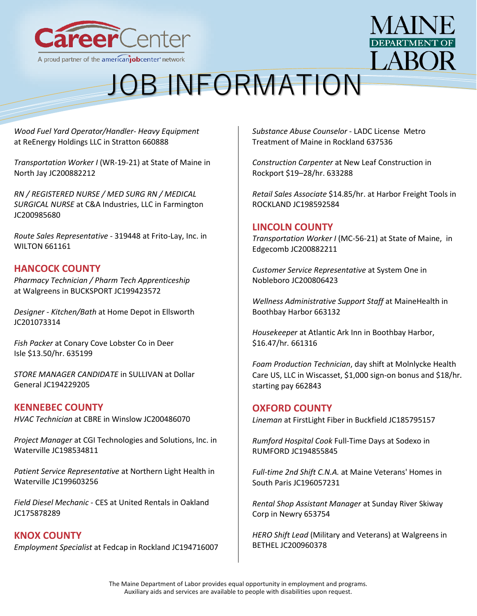



*[Wood Fuel Yard Operator/Handler-](https://gcc02.safelinks.protection.outlook.com/?url=https%3A%2F%2Fjoblink.maine.gov%2Fjobs%2F660888&data=04%7C01%7CDavid.M.Grima%40maine.gov%7C303bcba3e346422f5ec408d9cf9b5886%7C413fa8ab207d4b629bcdea1a8f2f864e%7C0%7C0%7C637769088382563435%7CUnknown%7CTWFpbGZsb3d8eyJWIjoiMC4wLjAwMDAiLCJQIjoiV2luMzIiLCJBTiI6Ik1haWwiLCJXVCI6Mn0%3D%7C3000&sdata=EC5uRrapb435T7zf9hGjAJptlfE3lweZv1GhhtZbJ3A%3D&reserved=0) Heavy Equipment* at [ReEnergy Holdings LLC](https://gcc02.safelinks.protection.outlook.com/?url=https%3A%2F%2Fjoblink.maine.gov%2Femployers%2F16478&data=04%7C01%7CDavid.M.Grima%40maine.gov%7C303bcba3e346422f5ec408d9cf9b5886%7C413fa8ab207d4b629bcdea1a8f2f864e%7C0%7C0%7C637769088382563435%7CUnknown%7CTWFpbGZsb3d8eyJWIjoiMC4wLjAwMDAiLCJQIjoiV2luMzIiLCJBTiI6Ik1haWwiLCJXVCI6Mn0%3D%7C3000&sdata=3Wef6wpyZSeAgStYFa708j711evb1Y1aAd98kuYhx80%3D&reserved=0) in Stratton 660888

*[Transportation Worker I](https://gcc02.safelinks.protection.outlook.com/?url=https%3A%2F%2Fjoblink.maine.gov%2Fjobs%2F661477&data=04%7C01%7CDavid.M.Grima%40maine.gov%7C303bcba3e346422f5ec408d9cf9b5886%7C413fa8ab207d4b629bcdea1a8f2f864e%7C0%7C0%7C637769088382563435%7CUnknown%7CTWFpbGZsb3d8eyJWIjoiMC4wLjAwMDAiLCJQIjoiV2luMzIiLCJBTiI6Ik1haWwiLCJXVCI6Mn0%3D%7C3000&sdata=2JV0MPGjVbXQnVf%2FOImJhpB%2BUlbIUim9TBoW9oHzm6M%3D&reserved=0)* (WR-19-21) at [State of Maine](https://gcc02.safelinks.protection.outlook.com/?url=https%3A%2F%2Fjoblink.maine.gov%2Femployers%2F15792&data=04%7C01%7CDavid.M.Grima%40maine.gov%7C303bcba3e346422f5ec408d9cf9b5886%7C413fa8ab207d4b629bcdea1a8f2f864e%7C0%7C0%7C637769088382563435%7CUnknown%7CTWFpbGZsb3d8eyJWIjoiMC4wLjAwMDAiLCJQIjoiV2luMzIiLCJBTiI6Ik1haWwiLCJXVCI6Mn0%3D%7C3000&sdata=9YT19GT3gD6qTDNFdfFeAKCUQ1UfIll%2FPiRUv3X0GfI%3D&reserved=0) in North Jay JC200882212

*[RN / REGISTERED NURSE / MED SURG RN / MEDICAL](https://gcc02.safelinks.protection.outlook.com/?url=https%3A%2F%2Fjoblink.maine.gov%2Fjobs%2F662107&data=04%7C01%7CDavid.M.Grima%40maine.gov%7C303bcba3e346422f5ec408d9cf9b5886%7C413fa8ab207d4b629bcdea1a8f2f864e%7C0%7C0%7C637769088382563435%7CUnknown%7CTWFpbGZsb3d8eyJWIjoiMC4wLjAwMDAiLCJQIjoiV2luMzIiLCJBTiI6Ik1haWwiLCJXVCI6Mn0%3D%7C3000&sdata=AIZjklcsMG%2B1OFCNG0719pRW19ssf2nMdyx9jhkJyj0%3D&reserved=0)  [SURGICAL NURSE](https://gcc02.safelinks.protection.outlook.com/?url=https%3A%2F%2Fjoblink.maine.gov%2Fjobs%2F662107&data=04%7C01%7CDavid.M.Grima%40maine.gov%7C303bcba3e346422f5ec408d9cf9b5886%7C413fa8ab207d4b629bcdea1a8f2f864e%7C0%7C0%7C637769088382563435%7CUnknown%7CTWFpbGZsb3d8eyJWIjoiMC4wLjAwMDAiLCJQIjoiV2luMzIiLCJBTiI6Ik1haWwiLCJXVCI6Mn0%3D%7C3000&sdata=AIZjklcsMG%2B1OFCNG0719pRW19ssf2nMdyx9jhkJyj0%3D&reserved=0)* at [C&A Industries, LLC](https://gcc02.safelinks.protection.outlook.com/?url=https%3A%2F%2Fjoblink.maine.gov%2Femployers%2F17671&data=04%7C01%7CDavid.M.Grima%40maine.gov%7C303bcba3e346422f5ec408d9cf9b5886%7C413fa8ab207d4b629bcdea1a8f2f864e%7C0%7C0%7C637769088382563435%7CUnknown%7CTWFpbGZsb3d8eyJWIjoiMC4wLjAwMDAiLCJQIjoiV2luMzIiLCJBTiI6Ik1haWwiLCJXVCI6Mn0%3D%7C3000&sdata=xjed8wpHv4%2FG%2BMGemoZAJAbkhIqDeek1fhbJqdkRL1Y%3D&reserved=0) in Farmington JC200985680

*[Route Sales Representative](https://gcc02.safelinks.protection.outlook.com/?url=https%3A%2F%2Fjoblink.maine.gov%2Fjobs%2F661161&data=04%7C01%7CDavid.M.Grima%40maine.gov%7C303bcba3e346422f5ec408d9cf9b5886%7C413fa8ab207d4b629bcdea1a8f2f864e%7C0%7C0%7C637769088382563435%7CUnknown%7CTWFpbGZsb3d8eyJWIjoiMC4wLjAwMDAiLCJQIjoiV2luMzIiLCJBTiI6Ik1haWwiLCJXVCI6Mn0%3D%7C3000&sdata=t74eUOvpOl2UdUv%2B%2BoILscfg2gKvytzBP%2B2mU9kTXQE%3D&reserved=0)* - 319448 at [Frito-Lay, Inc.](https://gcc02.safelinks.protection.outlook.com/?url=https%3A%2F%2Fjoblink.maine.gov%2Femployers%2F15294&data=04%7C01%7CDavid.M.Grima%40maine.gov%7C303bcba3e346422f5ec408d9cf9b5886%7C413fa8ab207d4b629bcdea1a8f2f864e%7C0%7C0%7C637769088382719658%7CUnknown%7CTWFpbGZsb3d8eyJWIjoiMC4wLjAwMDAiLCJQIjoiV2luMzIiLCJBTiI6Ik1haWwiLCJXVCI6Mn0%3D%7C3000&sdata=nlfGVa%2Bj1bNHfiM48g%2F8j9UMRsQ6cBIl%2FB%2F8qz%2F3VO8%3D&reserved=0) in WILTON 661161

### **HANCOCK COUNTY**

*[Pharmacy Technician / Pharm Tech Apprenticeship](https://joblink.maine.gov/jobs/651316)* at [Walgreens](https://joblink.maine.gov/employers/14719) in BUCKSPORT JC199423572

*Designer - [Kitchen/Bath](https://joblink.maine.gov/jobs/662593)* at [Home Depot](https://joblink.maine.gov/employers/11617) in Ellsworth JC201073314

*[Fish Packer](https://joblink.maine.gov/jobs/635199)* at [Conary Cove Lobster Co](https://joblink.maine.gov/employers/10211) in Deer Isle \$13.50/hr. 635199

*[STORE MANAGER CANDIDATE](https://joblink.maine.gov/jobs/619332)* in SULLIVAN at [Dollar](https://joblink.maine.gov/employers/12971)  [General](https://joblink.maine.gov/employers/12971) JC194229205

### **KENNEBEC COUNTY**

*[HVAC Technician](https://gcc02.safelinks.protection.outlook.com/?url=https%3A%2F%2Fjoblink.maine.gov%2Fjobs%2F659044&data=04%7C01%7CDavid.M.Grima%40maine.gov%7C8b89638cc2ff45b30fe508d9cf999ca7%7C413fa8ab207d4b629bcdea1a8f2f864e%7C0%7C0%7C637769080922158442%7CUnknown%7CTWFpbGZsb3d8eyJWIjoiMC4wLjAwMDAiLCJQIjoiV2luMzIiLCJBTiI6Ik1haWwiLCJXVCI6Mn0%3D%7C3000&sdata=E4S91mqCOchQSTrly68mcZBf3BOrH1zLdO9akIP%2BwI0%3D&reserved=0)* at [CBRE](https://gcc02.safelinks.protection.outlook.com/?url=https%3A%2F%2Fjoblink.maine.gov%2Femployers%2F11442&data=04%7C01%7CDavid.M.Grima%40maine.gov%7C8b89638cc2ff45b30fe508d9cf999ca7%7C413fa8ab207d4b629bcdea1a8f2f864e%7C0%7C0%7C637769080922158442%7CUnknown%7CTWFpbGZsb3d8eyJWIjoiMC4wLjAwMDAiLCJQIjoiV2luMzIiLCJBTiI6Ik1haWwiLCJXVCI6Mn0%3D%7C3000&sdata=9oQLT5%2B56L2pA12N85KeyfDhqNUFO4gjK6V2aSlR2F4%3D&reserved=0) in Winslow JC200486070

*[Project Manager](https://gcc02.safelinks.protection.outlook.com/?url=https%3A%2F%2Fjoblink.maine.gov%2Fjobs%2F645925&data=04%7C01%7CDavid.M.Grima%40maine.gov%7C8b89638cc2ff45b30fe508d9cf999ca7%7C413fa8ab207d4b629bcdea1a8f2f864e%7C0%7C0%7C637769080922158442%7CUnknown%7CTWFpbGZsb3d8eyJWIjoiMC4wLjAwMDAiLCJQIjoiV2luMzIiLCJBTiI6Ik1haWwiLCJXVCI6Mn0%3D%7C3000&sdata=AXXxV4GX2VqrqVqSM0CgPncffBeHiRorKz0lllit8yU%3D&reserved=0)* at [CGI Technologies and Solutions, Inc.](https://gcc02.safelinks.protection.outlook.com/?url=https%3A%2F%2Fjoblink.maine.gov%2Femployers%2F12827&data=04%7C01%7CDavid.M.Grima%40maine.gov%7C8b89638cc2ff45b30fe508d9cf999ca7%7C413fa8ab207d4b629bcdea1a8f2f864e%7C0%7C0%7C637769080922158442%7CUnknown%7CTWFpbGZsb3d8eyJWIjoiMC4wLjAwMDAiLCJQIjoiV2luMzIiLCJBTiI6Ik1haWwiLCJXVCI6Mn0%3D%7C3000&sdata=8pQJckcvsInpLM8f4Tg6ZGh3y%2FFjXErt0sMlVCaYm4k%3D&reserved=0) in Waterville JC198534811

*[Patient Service Representative](https://gcc02.safelinks.protection.outlook.com/?url=https%3A%2F%2Fjoblink.maine.gov%2Fjobs%2F653214&data=04%7C01%7CDavid.M.Grima%40maine.gov%7C8b89638cc2ff45b30fe508d9cf999ca7%7C413fa8ab207d4b629bcdea1a8f2f864e%7C0%7C0%7C637769080922158442%7CUnknown%7CTWFpbGZsb3d8eyJWIjoiMC4wLjAwMDAiLCJQIjoiV2luMzIiLCJBTiI6Ik1haWwiLCJXVCI6Mn0%3D%7C3000&sdata=IC3Y2K8HpxUcsmAolrdb4tc4zsPlmN%2FXx2aeaoD1huU%3D&reserved=0)* at [Northern Light Health](https://gcc02.safelinks.protection.outlook.com/?url=https%3A%2F%2Fjoblink.maine.gov%2Femployers%2F16387&data=04%7C01%7CDavid.M.Grima%40maine.gov%7C8b89638cc2ff45b30fe508d9cf999ca7%7C413fa8ab207d4b629bcdea1a8f2f864e%7C0%7C0%7C637769080922158442%7CUnknown%7CTWFpbGZsb3d8eyJWIjoiMC4wLjAwMDAiLCJQIjoiV2luMzIiLCJBTiI6Ik1haWwiLCJXVCI6Mn0%3D%7C3000&sdata=FNJIHjhLxWxNrXUcIRoo7JAc8LWROEuK806iRoy2Dfk%3D&reserved=0) in Waterville JC199603256

*[Field Diesel Mechanic](https://gcc02.safelinks.protection.outlook.com/?url=https%3A%2F%2Fjoblink.maine.gov%2Fjobs%2F517837&data=04%7C01%7CDavid.M.Grima%40maine.gov%7C8b89638cc2ff45b30fe508d9cf999ca7%7C413fa8ab207d4b629bcdea1a8f2f864e%7C0%7C0%7C637769080922158442%7CUnknown%7CTWFpbGZsb3d8eyJWIjoiMC4wLjAwMDAiLCJQIjoiV2luMzIiLCJBTiI6Ik1haWwiLCJXVCI6Mn0%3D%7C3000&sdata=NpGYj17OB%2FnEyH53SWZF73tQuSAD5Jss3JqmDSzES1o%3D&reserved=0)* - CES at [United Rentals](https://gcc02.safelinks.protection.outlook.com/?url=https%3A%2F%2Fjoblink.maine.gov%2Femployers%2F11484&data=04%7C01%7CDavid.M.Grima%40maine.gov%7C8b89638cc2ff45b30fe508d9cf999ca7%7C413fa8ab207d4b629bcdea1a8f2f864e%7C0%7C0%7C637769080922158442%7CUnknown%7CTWFpbGZsb3d8eyJWIjoiMC4wLjAwMDAiLCJQIjoiV2luMzIiLCJBTiI6Ik1haWwiLCJXVCI6Mn0%3D%7C3000&sdata=Fx%2FaNHuCBeCyyE4JU%2BRZN43boFF1tyz2xjWUdM6agPA%3D&reserved=0) in Oakland JC175878289

**KNOX COUNTY** *[Employment Specialist](https://joblink.maine.gov/jobs/621758)* at [Fedcap](https://joblink.maine.gov/employers/16763) in Rockland JC194716007 *[Substance Abuse Counselor](https://joblink.maine.gov/jobs/637536)* - LADC License [Metro](https://joblink.maine.gov/employers/14990)  [Treatment of Maine](https://joblink.maine.gov/employers/14990) in Rockland 637536

*[Construction Carpenter](https://joblink.maine.gov/jobs/633288)* at [New Leaf Construction](https://joblink.maine.gov/employers/19461) in Rockport \$19–28/hr. 633288

*[Retail Sales Associate](https://joblink.maine.gov/jobs/646180)* \$14.85/hr. at [Harbor Freight Tools](https://joblink.maine.gov/employers/11616) in ROCKLAND JC198592584

### **LINCOLN COUNTY**

*[Transportation Worker I](https://gcc02.safelinks.protection.outlook.com/?url=https%3A%2F%2Fjoblink.maine.gov%2Fjobs%2F661478&data=04%7C01%7CDavid.M.Grima%40maine.gov%7C303bcba3e346422f5ec408d9cf9b5886%7C413fa8ab207d4b629bcdea1a8f2f864e%7C0%7C0%7C637769088382719658%7CUnknown%7CTWFpbGZsb3d8eyJWIjoiMC4wLjAwMDAiLCJQIjoiV2luMzIiLCJBTiI6Ik1haWwiLCJXVCI6Mn0%3D%7C3000&sdata=E8De7ciaE3iAeKhOZQsJOa8a1xh5fuMP%2BTIWLhG%2FZ9g%3D&reserved=0)* (MC-56-21) at [State of Maine,](https://gcc02.safelinks.protection.outlook.com/?url=https%3A%2F%2Fjoblink.maine.gov%2Femployers%2F15792&data=04%7C01%7CDavid.M.Grima%40maine.gov%7C303bcba3e346422f5ec408d9cf9b5886%7C413fa8ab207d4b629bcdea1a8f2f864e%7C0%7C0%7C637769088382719658%7CUnknown%7CTWFpbGZsb3d8eyJWIjoiMC4wLjAwMDAiLCJQIjoiV2luMzIiLCJBTiI6Ik1haWwiLCJXVCI6Mn0%3D%7C3000&sdata=waovenXsXD4YMrNddMm2GDwdtEy%2BkNiTZZ8dBIEHBDw%3D&reserved=0) in Edgecomb JC200882211

*[Customer Service Representative](https://gcc02.safelinks.protection.outlook.com/?url=https%3A%2F%2Fjoblink.maine.gov%2Fjobs%2F661109&data=04%7C01%7CDavid.M.Grima%40maine.gov%7C303bcba3e346422f5ec408d9cf9b5886%7C413fa8ab207d4b629bcdea1a8f2f864e%7C0%7C0%7C637769088382719658%7CUnknown%7CTWFpbGZsb3d8eyJWIjoiMC4wLjAwMDAiLCJQIjoiV2luMzIiLCJBTiI6Ik1haWwiLCJXVCI6Mn0%3D%7C3000&sdata=u5CkJ4FOBxml5LmzJnCxUwiy6gTKoXloXcc%2B92PhXTE%3D&reserved=0)* at [System One](https://gcc02.safelinks.protection.outlook.com/?url=https%3A%2F%2Fjoblink.maine.gov%2Femployers%2F20082&data=04%7C01%7CDavid.M.Grima%40maine.gov%7C303bcba3e346422f5ec408d9cf9b5886%7C413fa8ab207d4b629bcdea1a8f2f864e%7C0%7C0%7C637769088382719658%7CUnknown%7CTWFpbGZsb3d8eyJWIjoiMC4wLjAwMDAiLCJQIjoiV2luMzIiLCJBTiI6Ik1haWwiLCJXVCI6Mn0%3D%7C3000&sdata=pdfxXAihfii7WX9eIQqF%2F5Ir5ilqliPMLA3GK3xDVhg%3D&reserved=0) in Nobleboro JC200806423

*[Wellness Administrative Support Staff](https://gcc02.safelinks.protection.outlook.com/?url=https%3A%2F%2Fjoblink.maine.gov%2Fjobs%2F663132&data=04%7C01%7CDavid.M.Grima%40maine.gov%7C303bcba3e346422f5ec408d9cf9b5886%7C413fa8ab207d4b629bcdea1a8f2f864e%7C0%7C0%7C637769088382719658%7CUnknown%7CTWFpbGZsb3d8eyJWIjoiMC4wLjAwMDAiLCJQIjoiV2luMzIiLCJBTiI6Ik1haWwiLCJXVCI6Mn0%3D%7C3000&sdata=CPQvE74GOEIcLk0uiAp4pgOFKZDrM8H3Iut6QCwpIs8%3D&reserved=0)* at [MaineHealth](https://gcc02.safelinks.protection.outlook.com/?url=https%3A%2F%2Fjoblink.maine.gov%2Femployers%2F15104&data=04%7C01%7CDavid.M.Grima%40maine.gov%7C303bcba3e346422f5ec408d9cf9b5886%7C413fa8ab207d4b629bcdea1a8f2f864e%7C0%7C0%7C637769088382719658%7CUnknown%7CTWFpbGZsb3d8eyJWIjoiMC4wLjAwMDAiLCJQIjoiV2luMzIiLCJBTiI6Ik1haWwiLCJXVCI6Mn0%3D%7C3000&sdata=C6Ju4oKqYqSCm5Qh6UGLsraqw00Ih6t%2FLXqz%2FjPb8fs%3D&reserved=0) in Boothbay Harbor 663132

*[Housekeeper](https://gcc02.safelinks.protection.outlook.com/?url=https%3A%2F%2Fjoblink.maine.gov%2Fjobs%2F661316&data=04%7C01%7CDavid.M.Grima%40maine.gov%7C303bcba3e346422f5ec408d9cf9b5886%7C413fa8ab207d4b629bcdea1a8f2f864e%7C0%7C0%7C637769088382719658%7CUnknown%7CTWFpbGZsb3d8eyJWIjoiMC4wLjAwMDAiLCJQIjoiV2luMzIiLCJBTiI6Ik1haWwiLCJXVCI6Mn0%3D%7C3000&sdata=Ce94lSB4KOe%2FA3DHpmdpE5Fk7sP9Yb6Yop%2BS%2Bm8VRR4%3D&reserved=0)* at [Atlantic Ark Inn](https://gcc02.safelinks.protection.outlook.com/?url=https%3A%2F%2Fjoblink.maine.gov%2Femployers%2F17742&data=04%7C01%7CDavid.M.Grima%40maine.gov%7C303bcba3e346422f5ec408d9cf9b5886%7C413fa8ab207d4b629bcdea1a8f2f864e%7C0%7C0%7C637769088382719658%7CUnknown%7CTWFpbGZsb3d8eyJWIjoiMC4wLjAwMDAiLCJQIjoiV2luMzIiLCJBTiI6Ik1haWwiLCJXVCI6Mn0%3D%7C3000&sdata=pY7v5t2BBTpiXwk8mux3zJfANsSabU1MKHVLMOkdiUc%3D&reserved=0) in Boothbay Harbor, \$16.47/hr*.* 661316

*[Foam Production Technician](https://gcc02.safelinks.protection.outlook.com/?url=https%3A%2F%2Fjoblink.maine.gov%2Fjobs%2F662843&data=04%7C01%7CDavid.M.Grima%40maine.gov%7C303bcba3e346422f5ec408d9cf9b5886%7C413fa8ab207d4b629bcdea1a8f2f864e%7C0%7C0%7C637769088382719658%7CUnknown%7CTWFpbGZsb3d8eyJWIjoiMC4wLjAwMDAiLCJQIjoiV2luMzIiLCJBTiI6Ik1haWwiLCJXVCI6Mn0%3D%7C3000&sdata=L2x82mg7Q57gGn7I6GK2oim%2B9ozGGeO74Aj8X15wUiM%3D&reserved=0)*, day shift at [Molnlycke Health](https://gcc02.safelinks.protection.outlook.com/?url=https%3A%2F%2Fjoblink.maine.gov%2Femployers%2F17057&data=04%7C01%7CDavid.M.Grima%40maine.gov%7C303bcba3e346422f5ec408d9cf9b5886%7C413fa8ab207d4b629bcdea1a8f2f864e%7C0%7C0%7C637769088382719658%7CUnknown%7CTWFpbGZsb3d8eyJWIjoiMC4wLjAwMDAiLCJQIjoiV2luMzIiLCJBTiI6Ik1haWwiLCJXVCI6Mn0%3D%7C3000&sdata=MD2X7Pn0qePp5Et67upFCfNsQV7kdRryyOKpt%2B3H8Ds%3D&reserved=0)  [Care US, LLC](https://gcc02.safelinks.protection.outlook.com/?url=https%3A%2F%2Fjoblink.maine.gov%2Femployers%2F17057&data=04%7C01%7CDavid.M.Grima%40maine.gov%7C303bcba3e346422f5ec408d9cf9b5886%7C413fa8ab207d4b629bcdea1a8f2f864e%7C0%7C0%7C637769088382719658%7CUnknown%7CTWFpbGZsb3d8eyJWIjoiMC4wLjAwMDAiLCJQIjoiV2luMzIiLCJBTiI6Ik1haWwiLCJXVCI6Mn0%3D%7C3000&sdata=MD2X7Pn0qePp5Et67upFCfNsQV7kdRryyOKpt%2B3H8Ds%3D&reserved=0) in Wiscasset, \$1,000 sign-on bonus and \$18/hr*.* starting pay 662843

### **OXFORD COUNTY**

*[Lineman](https://gcc02.safelinks.protection.outlook.com/?url=https%3A%2F%2Fjoblink.maine.gov%2Fjobs%2F568832&data=04%7C01%7CDavid.M.Grima%40maine.gov%7C303bcba3e346422f5ec408d9cf9b5886%7C413fa8ab207d4b629bcdea1a8f2f864e%7C0%7C0%7C637769088382719658%7CUnknown%7CTWFpbGZsb3d8eyJWIjoiMC4wLjAwMDAiLCJQIjoiV2luMzIiLCJBTiI6Ik1haWwiLCJXVCI6Mn0%3D%7C3000&sdata=fkN6jOkphdqNAShoVS0en6OjUaxy5yOFAJlBm41jQ2o%3D&reserved=0)* at [FirstLight Fiber](https://gcc02.safelinks.protection.outlook.com/?url=https%3A%2F%2Fjoblink.maine.gov%2Femployers%2F17727&data=04%7C01%7CDavid.M.Grima%40maine.gov%7C303bcba3e346422f5ec408d9cf9b5886%7C413fa8ab207d4b629bcdea1a8f2f864e%7C0%7C0%7C637769088382719658%7CUnknown%7CTWFpbGZsb3d8eyJWIjoiMC4wLjAwMDAiLCJQIjoiV2luMzIiLCJBTiI6Ik1haWwiLCJXVCI6Mn0%3D%7C3000&sdata=vMRIc%2F2z24d%2Fuw4FIec8JlmBl04ZjCz2OuOKGNXVugo%3D&reserved=0) in Buckfield JC185795157

*[Rumford Hospital Cook](https://gcc02.safelinks.protection.outlook.com/?url=https%3A%2F%2Fjoblink.maine.gov%2Fjobs%2F622583&data=04%7C01%7CDavid.M.Grima%40maine.gov%7C303bcba3e346422f5ec408d9cf9b5886%7C413fa8ab207d4b629bcdea1a8f2f864e%7C0%7C0%7C637769088382719658%7CUnknown%7CTWFpbGZsb3d8eyJWIjoiMC4wLjAwMDAiLCJQIjoiV2luMzIiLCJBTiI6Ik1haWwiLCJXVCI6Mn0%3D%7C3000&sdata=UfxikucdPsi54alwYTwJttz92zZST2hExPAjBi9QoqA%3D&reserved=0)* Full-Time Days at [Sodexo](https://gcc02.safelinks.protection.outlook.com/?url=https%3A%2F%2Fjoblink.maine.gov%2Femployers%2F18008&data=04%7C01%7CDavid.M.Grima%40maine.gov%7C303bcba3e346422f5ec408d9cf9b5886%7C413fa8ab207d4b629bcdea1a8f2f864e%7C0%7C0%7C637769088382719658%7CUnknown%7CTWFpbGZsb3d8eyJWIjoiMC4wLjAwMDAiLCJQIjoiV2luMzIiLCJBTiI6Ik1haWwiLCJXVCI6Mn0%3D%7C3000&sdata=mcgkpA4pHJtSni0r9UYaFq5TLdXCblKzXQkhhTcrrbk%3D&reserved=0) in RUMFORD JC194855845

*[Full-time 2nd Shift C.N.A.](https://gcc02.safelinks.protection.outlook.com/?url=https%3A%2F%2Fjoblink.maine.gov%2Fjobs%2F629616&data=04%7C01%7CDavid.M.Grima%40maine.gov%7C303bcba3e346422f5ec408d9cf9b5886%7C413fa8ab207d4b629bcdea1a8f2f864e%7C0%7C0%7C637769088382719658%7CUnknown%7CTWFpbGZsb3d8eyJWIjoiMC4wLjAwMDAiLCJQIjoiV2luMzIiLCJBTiI6Ik1haWwiLCJXVCI6Mn0%3D%7C3000&sdata=4SAHn%2FQPzmlJhlhVAFVo47ml6RzKL6tObDnx%2BHEDnJY%3D&reserved=0)* at [Maine Veterans' Homes](https://gcc02.safelinks.protection.outlook.com/?url=https%3A%2F%2Fjoblink.maine.gov%2Femployers%2F14978&data=04%7C01%7CDavid.M.Grima%40maine.gov%7C303bcba3e346422f5ec408d9cf9b5886%7C413fa8ab207d4b629bcdea1a8f2f864e%7C0%7C0%7C637769088382719658%7CUnknown%7CTWFpbGZsb3d8eyJWIjoiMC4wLjAwMDAiLCJQIjoiV2luMzIiLCJBTiI6Ik1haWwiLCJXVCI6Mn0%3D%7C3000&sdata=zjhssIka1adTB7sOceFyss2W1ZX8cUnn6oOtYTqf4eM%3D&reserved=0) in South Paris JC196057231

*[Rental Shop Assistant Manager](https://gcc02.safelinks.protection.outlook.com/?url=https%3A%2F%2Fjoblink.maine.gov%2Fjobs%2F653754&data=04%7C01%7CDavid.M.Grima%40maine.gov%7C303bcba3e346422f5ec408d9cf9b5886%7C413fa8ab207d4b629bcdea1a8f2f864e%7C0%7C0%7C637769088382719658%7CUnknown%7CTWFpbGZsb3d8eyJWIjoiMC4wLjAwMDAiLCJQIjoiV2luMzIiLCJBTiI6Ik1haWwiLCJXVCI6Mn0%3D%7C3000&sdata=SiidiE9H6Xk4hpt16BodkYSloDeuJMx29clfWH9QPGE%3D&reserved=0)* at [Sunday River Skiway](https://gcc02.safelinks.protection.outlook.com/?url=https%3A%2F%2Fjoblink.maine.gov%2Femployers%2F6186&data=04%7C01%7CDavid.M.Grima%40maine.gov%7C303bcba3e346422f5ec408d9cf9b5886%7C413fa8ab207d4b629bcdea1a8f2f864e%7C0%7C0%7C637769088382719658%7CUnknown%7CTWFpbGZsb3d8eyJWIjoiMC4wLjAwMDAiLCJQIjoiV2luMzIiLCJBTiI6Ik1haWwiLCJXVCI6Mn0%3D%7C3000&sdata=qPRXyB5PIapqF9RUdQlmUyMnRZA5VzGQU2yeOdd41ws%3D&reserved=0)  [Corp](https://gcc02.safelinks.protection.outlook.com/?url=https%3A%2F%2Fjoblink.maine.gov%2Femployers%2F6186&data=04%7C01%7CDavid.M.Grima%40maine.gov%7C303bcba3e346422f5ec408d9cf9b5886%7C413fa8ab207d4b629bcdea1a8f2f864e%7C0%7C0%7C637769088382719658%7CUnknown%7CTWFpbGZsb3d8eyJWIjoiMC4wLjAwMDAiLCJQIjoiV2luMzIiLCJBTiI6Ik1haWwiLCJXVCI6Mn0%3D%7C3000&sdata=qPRXyB5PIapqF9RUdQlmUyMnRZA5VzGQU2yeOdd41ws%3D&reserved=0) in Newry 653754

*HERO Shift Lead* [\(Military and Veterans\)](https://gcc02.safelinks.protection.outlook.com/?url=https%3A%2F%2Fjoblink.maine.gov%2Fjobs%2F662171&data=04%7C01%7CDavid.M.Grima%40maine.gov%7C303bcba3e346422f5ec408d9cf9b5886%7C413fa8ab207d4b629bcdea1a8f2f864e%7C0%7C0%7C637769088382719658%7CUnknown%7CTWFpbGZsb3d8eyJWIjoiMC4wLjAwMDAiLCJQIjoiV2luMzIiLCJBTiI6Ik1haWwiLCJXVCI6Mn0%3D%7C3000&sdata=VdwFrJIvzSnD32Z7%2BUJg%2FijQCl37PjhM6DAJ%2BbPZajo%3D&reserved=0) at [Walgreens](https://gcc02.safelinks.protection.outlook.com/?url=https%3A%2F%2Fjoblink.maine.gov%2Femployers%2F14719&data=04%7C01%7CDavid.M.Grima%40maine.gov%7C303bcba3e346422f5ec408d9cf9b5886%7C413fa8ab207d4b629bcdea1a8f2f864e%7C0%7C0%7C637769088382719658%7CUnknown%7CTWFpbGZsb3d8eyJWIjoiMC4wLjAwMDAiLCJQIjoiV2luMzIiLCJBTiI6Ik1haWwiLCJXVCI6Mn0%3D%7C3000&sdata=7r7VTfHaTUP5GIjfiQBHSip8BSuG35C5EIaHJvNgUgA%3D&reserved=0) in BETHEL JC200960378

The Maine Department of Labor provides equal opportunity in employment and programs. Auxiliary aids and services are available to people with disabilities upon request.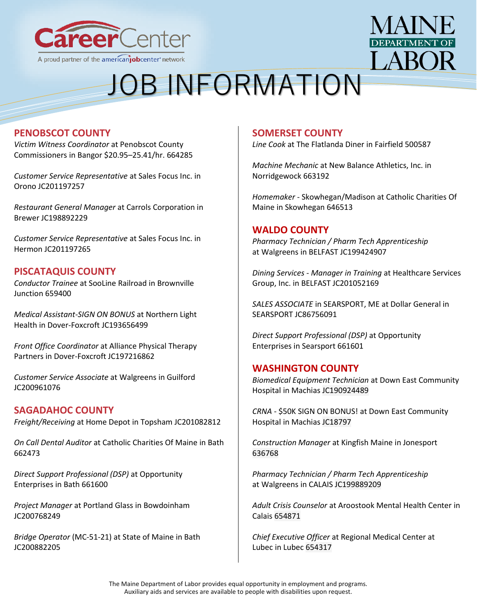



### **PENOBSCOT COUNTY**

*[Victim Witness Coordinator](https://joblink.maine.gov/jobs/664285)* at [Penobscot County](https://joblink.maine.gov/employers/18867)  [Commissioners](https://joblink.maine.gov/employers/18867) in Bangor \$20.95–25.41/hr. 664285

*[Customer Service Representative](https://joblink.maine.gov/jobs/664025)* at [Sales Focus Inc.](https://joblink.maine.gov/employers/20364) in Orono JC201197257

*[Restaurant General Manager](https://joblink.maine.gov/jobs/647872)* at [Carrols Corporation](https://joblink.maine.gov/employers/20413) in Brewer JC198892229

*[Customer Service Representative](https://joblink.maine.gov/jobs/664019)* at [Sales Focus Inc.](https://joblink.maine.gov/employers/20364) in Hermon JC201197265

### **PISCATAQUIS COUNTY**

*[Conductor Trainee](https://joblink.maine.gov/jobs/659400)* at [SooLine Railroad](https://joblink.maine.gov/employers/20573) in Brownville Junction 659400

*[Medical Assistant-SIGN ON BONUS](https://joblink.maine.gov/jobs/614591)* at [Northern Light](https://joblink.maine.gov/employers/16387)  [Health](https://joblink.maine.gov/employers/16387) in Dover-Foxcroft JC193656499

*[Front Office Coordinator](https://joblink.maine.gov/jobs/637980)* at [Alliance Physical Therapy](https://joblink.maine.gov/employers/16132)  [Partners](https://joblink.maine.gov/employers/16132) in Dover-Foxcroft JC197216862

*[Customer Service Associate](https://joblink.maine.gov/jobs/662187)* at [Walgreens](https://joblink.maine.gov/employers/14719) in Guilford JC200961076

### **SAGADAHOC COUNTY**

*[Freight/Receiving](https://gcc02.safelinks.protection.outlook.com/?url=https%3A%2F%2Fjoblink.maine.gov%2Fjobs%2F662738&data=04%7C01%7CDavid.M.Grima%40maine.gov%7C303bcba3e346422f5ec408d9cf9b5886%7C413fa8ab207d4b629bcdea1a8f2f864e%7C0%7C0%7C637769088382719658%7CUnknown%7CTWFpbGZsb3d8eyJWIjoiMC4wLjAwMDAiLCJQIjoiV2luMzIiLCJBTiI6Ik1haWwiLCJXVCI6Mn0%3D%7C3000&sdata=I5YBOsWi4Ao1hqZRl7IlFuzu8FH20Db5Ma%2BCb6aCXSQ%3D&reserved=0)* at [Home Depot](https://gcc02.safelinks.protection.outlook.com/?url=https%3A%2F%2Fjoblink.maine.gov%2Femployers%2F11617&data=04%7C01%7CDavid.M.Grima%40maine.gov%7C303bcba3e346422f5ec408d9cf9b5886%7C413fa8ab207d4b629bcdea1a8f2f864e%7C0%7C0%7C637769088382719658%7CUnknown%7CTWFpbGZsb3d8eyJWIjoiMC4wLjAwMDAiLCJQIjoiV2luMzIiLCJBTiI6Ik1haWwiLCJXVCI6Mn0%3D%7C3000&sdata=sqJFf%2BWN9Fbh4EOSibuNzbDm%2B6r7glJiHdBvi7n6vkg%3D&reserved=0) in Topsham JC201082812

*[On Call Dental Auditor](https://gcc02.safelinks.protection.outlook.com/?url=https%3A%2F%2Fjoblink.maine.gov%2Fjobs%2F662473&data=04%7C01%7CDavid.M.Grima%40maine.gov%7C303bcba3e346422f5ec408d9cf9b5886%7C413fa8ab207d4b629bcdea1a8f2f864e%7C0%7C0%7C637769088382719658%7CUnknown%7CTWFpbGZsb3d8eyJWIjoiMC4wLjAwMDAiLCJQIjoiV2luMzIiLCJBTiI6Ik1haWwiLCJXVCI6Mn0%3D%7C3000&sdata=lOuf3HZbWkJ%2FMkDxLorhBaTtEj%2BZAf%2FMvZ9mesUrOPI%3D&reserved=0)* at [Catholic Charities Of Maine](https://gcc02.safelinks.protection.outlook.com/?url=https%3A%2F%2Fjoblink.maine.gov%2Femployers%2F3820&data=04%7C01%7CDavid.M.Grima%40maine.gov%7C303bcba3e346422f5ec408d9cf9b5886%7C413fa8ab207d4b629bcdea1a8f2f864e%7C0%7C0%7C637769088382719658%7CUnknown%7CTWFpbGZsb3d8eyJWIjoiMC4wLjAwMDAiLCJQIjoiV2luMzIiLCJBTiI6Ik1haWwiLCJXVCI6Mn0%3D%7C3000&sdata=fUwOAQVx0t89G7sWAUUbWxoRZlJuIUftfAOR6QIOKRU%3D&reserved=0) in Bath 662473

*[Direct Support Professional \(DSP\)](https://gcc02.safelinks.protection.outlook.com/?url=https%3A%2F%2Fjoblink.maine.gov%2Fjobs%2F661600&data=04%7C01%7CDavid.M.Grima%40maine.gov%7C303bcba3e346422f5ec408d9cf9b5886%7C413fa8ab207d4b629bcdea1a8f2f864e%7C0%7C0%7C637769088382719658%7CUnknown%7CTWFpbGZsb3d8eyJWIjoiMC4wLjAwMDAiLCJQIjoiV2luMzIiLCJBTiI6Ik1haWwiLCJXVCI6Mn0%3D%7C3000&sdata=a%2FQOcGQR8OMnv9KXLyjaf6l%2B8HqRA6WepbpeYNvoe3c%3D&reserved=0)* at [Opportunity](https://gcc02.safelinks.protection.outlook.com/?url=https%3A%2F%2Fjoblink.maine.gov%2Femployers%2F10942&data=04%7C01%7CDavid.M.Grima%40maine.gov%7C303bcba3e346422f5ec408d9cf9b5886%7C413fa8ab207d4b629bcdea1a8f2f864e%7C0%7C0%7C637769088382719658%7CUnknown%7CTWFpbGZsb3d8eyJWIjoiMC4wLjAwMDAiLCJQIjoiV2luMzIiLCJBTiI6Ik1haWwiLCJXVCI6Mn0%3D%7C3000&sdata=lOJR1zzLS88To6oRH2xbv9Oho5579WF6%2BZrkw0FdX5M%3D&reserved=0)  [Enterprises](https://gcc02.safelinks.protection.outlook.com/?url=https%3A%2F%2Fjoblink.maine.gov%2Femployers%2F10942&data=04%7C01%7CDavid.M.Grima%40maine.gov%7C303bcba3e346422f5ec408d9cf9b5886%7C413fa8ab207d4b629bcdea1a8f2f864e%7C0%7C0%7C637769088382719658%7CUnknown%7CTWFpbGZsb3d8eyJWIjoiMC4wLjAwMDAiLCJQIjoiV2luMzIiLCJBTiI6Ik1haWwiLCJXVCI6Mn0%3D%7C3000&sdata=lOJR1zzLS88To6oRH2xbv9Oho5579WF6%2BZrkw0FdX5M%3D&reserved=0) in Bath 661600

*[Project Manager](https://gcc02.safelinks.protection.outlook.com/?url=https%3A%2F%2Fjoblink.maine.gov%2Fjobs%2F660051&data=04%7C01%7CDavid.M.Grima%40maine.gov%7C303bcba3e346422f5ec408d9cf9b5886%7C413fa8ab207d4b629bcdea1a8f2f864e%7C0%7C0%7C637769088382719658%7CUnknown%7CTWFpbGZsb3d8eyJWIjoiMC4wLjAwMDAiLCJQIjoiV2luMzIiLCJBTiI6Ik1haWwiLCJXVCI6Mn0%3D%7C3000&sdata=kGwdOM0M0qqqbha6WlwCJr%2FdDP6y3%2FikGqWy1gztBL8%3D&reserved=0)* at [Portland Glass](https://gcc02.safelinks.protection.outlook.com/?url=https%3A%2F%2Fjoblink.maine.gov%2Femployers%2F16484&data=04%7C01%7CDavid.M.Grima%40maine.gov%7C303bcba3e346422f5ec408d9cf9b5886%7C413fa8ab207d4b629bcdea1a8f2f864e%7C0%7C0%7C637769088382719658%7CUnknown%7CTWFpbGZsb3d8eyJWIjoiMC4wLjAwMDAiLCJQIjoiV2luMzIiLCJBTiI6Ik1haWwiLCJXVCI6Mn0%3D%7C3000&sdata=kLrUqVUWlLjzpbueKDF26ZXuryX6nAfUNBCmN6rQeDs%3D&reserved=0) in Bowdoinham JC200768249

*[Bridge Operator](https://gcc02.safelinks.protection.outlook.com/?url=https%3A%2F%2Fjoblink.maine.gov%2Fjobs%2F661515&data=04%7C01%7CDavid.M.Grima%40maine.gov%7C303bcba3e346422f5ec408d9cf9b5886%7C413fa8ab207d4b629bcdea1a8f2f864e%7C0%7C0%7C637769088382719658%7CUnknown%7CTWFpbGZsb3d8eyJWIjoiMC4wLjAwMDAiLCJQIjoiV2luMzIiLCJBTiI6Ik1haWwiLCJXVCI6Mn0%3D%7C3000&sdata=9i2ANKmV3zk5kWSEzc9YqIYG4FJe6CP5SAIAFV7%2Bk10%3D&reserved=0)* (MC-51-21) at [State of Maine](https://gcc02.safelinks.protection.outlook.com/?url=https%3A%2F%2Fjoblink.maine.gov%2Femployers%2F15792&data=04%7C01%7CDavid.M.Grima%40maine.gov%7C303bcba3e346422f5ec408d9cf9b5886%7C413fa8ab207d4b629bcdea1a8f2f864e%7C0%7C0%7C637769088382719658%7CUnknown%7CTWFpbGZsb3d8eyJWIjoiMC4wLjAwMDAiLCJQIjoiV2luMzIiLCJBTiI6Ik1haWwiLCJXVCI6Mn0%3D%7C3000&sdata=waovenXsXD4YMrNddMm2GDwdtEy%2BkNiTZZ8dBIEHBDw%3D&reserved=0) in Bath JC200882205

### **SOMERSET COUNTY**

*[Line Cook](https://gcc02.safelinks.protection.outlook.com/?url=https%3A%2F%2Fjoblink.maine.gov%2Fjobs%2F500587&data=04%7C01%7CDavid.M.Grima%40maine.gov%7Cb12c4da2aafc4051fb8708d9d149b2aa%7C413fa8ab207d4b629bcdea1a8f2f864e%7C0%7C0%7C637770936718438963%7CUnknown%7CTWFpbGZsb3d8eyJWIjoiMC4wLjAwMDAiLCJQIjoiV2luMzIiLCJBTiI6Ik1haWwiLCJXVCI6Mn0%3D%7C3000&sdata=1b2q6TsRZWzohlaRusmtzSbf2CHsu5PwPyukjaQX9EU%3D&reserved=0)* at [The Flatlanda Diner](https://gcc02.safelinks.protection.outlook.com/?url=https%3A%2F%2Fjoblink.maine.gov%2Femployers%2F18761&data=04%7C01%7CDavid.M.Grima%40maine.gov%7Cb12c4da2aafc4051fb8708d9d149b2aa%7C413fa8ab207d4b629bcdea1a8f2f864e%7C0%7C0%7C637770936718438963%7CUnknown%7CTWFpbGZsb3d8eyJWIjoiMC4wLjAwMDAiLCJQIjoiV2luMzIiLCJBTiI6Ik1haWwiLCJXVCI6Mn0%3D%7C3000&sdata=I%2FyLBc51zk5Ks23fk5E3OQSwDQcJOqERaREc%2F4C7XAY%3D&reserved=0) in Fairfield 500587

*[Machine Mechanic](https://gcc02.safelinks.protection.outlook.com/?url=https%3A%2F%2Fjoblink.maine.gov%2Fjobs%2F663192&data=04%7C01%7CDavid.M.Grima%40maine.gov%7Cb12c4da2aafc4051fb8708d9d149b2aa%7C413fa8ab207d4b629bcdea1a8f2f864e%7C0%7C0%7C637770936718438963%7CUnknown%7CTWFpbGZsb3d8eyJWIjoiMC4wLjAwMDAiLCJQIjoiV2luMzIiLCJBTiI6Ik1haWwiLCJXVCI6Mn0%3D%7C3000&sdata=PC83Kt%2BTMhJ%2Fq1iFmULXUI7IRvNRPXbL4j0y2w6TwOg%3D&reserved=0)* at [New Balance Athletics, Inc.](https://gcc02.safelinks.protection.outlook.com/?url=https%3A%2F%2Fjoblink.maine.gov%2Femployers%2F16793&data=04%7C01%7CDavid.M.Grima%40maine.gov%7Cb12c4da2aafc4051fb8708d9d149b2aa%7C413fa8ab207d4b629bcdea1a8f2f864e%7C0%7C0%7C637770936718438963%7CUnknown%7CTWFpbGZsb3d8eyJWIjoiMC4wLjAwMDAiLCJQIjoiV2luMzIiLCJBTiI6Ik1haWwiLCJXVCI6Mn0%3D%7C3000&sdata=I93ZmHN4hePIlBFco2Fq5F6AOZWgcAdOTvTC3OLHFOA%3D&reserved=0) in Norridgewock 663192

*Homemaker* - [Skowhegan/Madison](https://gcc02.safelinks.protection.outlook.com/?url=https%3A%2F%2Fjoblink.maine.gov%2Fjobs%2F646513&data=04%7C01%7CDavid.M.Grima%40maine.gov%7Cb12c4da2aafc4051fb8708d9d149b2aa%7C413fa8ab207d4b629bcdea1a8f2f864e%7C0%7C0%7C637770936718438963%7CUnknown%7CTWFpbGZsb3d8eyJWIjoiMC4wLjAwMDAiLCJQIjoiV2luMzIiLCJBTiI6Ik1haWwiLCJXVCI6Mn0%3D%7C3000&sdata=NPDFhcSdg0%2FFNwGyn2eeio4uyr10dwzZi4B5nIwe1iQ%3D&reserved=0) at [Catholic Charities Of](https://gcc02.safelinks.protection.outlook.com/?url=https%3A%2F%2Fjoblink.maine.gov%2Femployers%2F3820&data=04%7C01%7CDavid.M.Grima%40maine.gov%7Cb12c4da2aafc4051fb8708d9d149b2aa%7C413fa8ab207d4b629bcdea1a8f2f864e%7C0%7C0%7C637770936718438963%7CUnknown%7CTWFpbGZsb3d8eyJWIjoiMC4wLjAwMDAiLCJQIjoiV2luMzIiLCJBTiI6Ik1haWwiLCJXVCI6Mn0%3D%7C3000&sdata=ztf4Hy8jeS4GIKyJBbtduJeFmjX6KsIAw%2BrkWzGbdhc%3D&reserved=0)  [Maine](https://gcc02.safelinks.protection.outlook.com/?url=https%3A%2F%2Fjoblink.maine.gov%2Femployers%2F3820&data=04%7C01%7CDavid.M.Grima%40maine.gov%7Cb12c4da2aafc4051fb8708d9d149b2aa%7C413fa8ab207d4b629bcdea1a8f2f864e%7C0%7C0%7C637770936718438963%7CUnknown%7CTWFpbGZsb3d8eyJWIjoiMC4wLjAwMDAiLCJQIjoiV2luMzIiLCJBTiI6Ik1haWwiLCJXVCI6Mn0%3D%7C3000&sdata=ztf4Hy8jeS4GIKyJBbtduJeFmjX6KsIAw%2BrkWzGbdhc%3D&reserved=0) in Skowhegan 646513

### **WALDO COUNTY**

*[Pharmacy Technician / Pharm Tech Apprenticeship](https://joblink.maine.gov/jobs/651313)* at [Walgreens](https://joblink.maine.gov/employers/14719) in BELFAST JC199424907

*Dining Services - [Manager in Training](https://joblink.maine.gov/jobs/662346)* at [Healthcare Services](https://joblink.maine.gov/employers/17273)  [Group, Inc.](https://joblink.maine.gov/employers/17273) in BELFAST JC201052169

*SALES ASSOCIATE* [in SEARSPORT, ME](https://joblink.maine.gov/jobs/221515) at [Dollar General](https://joblink.maine.gov/employers/12971) in SEARSPORT JC86756091

*[Direct Support Professional \(DSP\)](https://joblink.maine.gov/jobs/661601)* at [Opportunity](https://joblink.maine.gov/employers/10942)  [Enterprises](https://joblink.maine.gov/employers/10942) in Searsport 661601

### **WASHINGTON COUNTY**

*[Biomedical Equipment Technician](https://joblink.maine.gov/jobs/597663)* at [Down East Community](https://joblink.maine.gov/employers/20063)  [Hospital](https://joblink.maine.gov/employers/20063) in Machias JC190924489

*CRNA* - [\\$50K SIGN ON BONUS!](https://joblink.maine.gov/jobs/581171) at [Down East Community](https://joblink.maine.gov/employers/20063)  [Hospital](https://joblink.maine.gov/employers/20063) in Machias JC18797

*[Construction Manager](https://joblink.maine.gov/jobs/636768)* at [Kingfish Maine](https://joblink.maine.gov/employers/20310) in Jonesport 636768

*[Pharmacy Technician / Pharm Tech Apprenticeship](https://joblink.maine.gov/jobs/654604)* at [Walgreens](https://joblink.maine.gov/employers/14719) in CALAIS JC199889209

*[Adult Crisis Counselor](https://joblink.maine.gov/jobs/654871)* at [Aroostook Mental Health Center](https://joblink.maine.gov/employers/3852) in Calais 654871

*[Chief Executive Officer](https://joblink.maine.gov/jobs/654317)* at [Regional Medical Center at](https://joblink.maine.gov/employers/12657)  [Lubec](https://joblink.maine.gov/employers/12657) in Lubec 654317